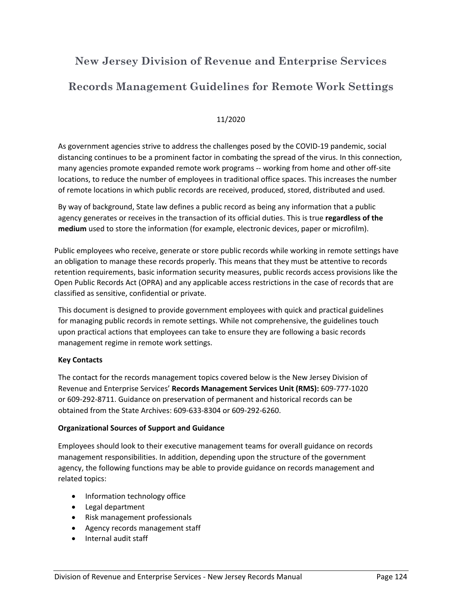# **New Jersey Division of Revenue and Enterprise Services Records Management Guidelines for Remote Work Settings**

## 11/2020

As government agencies strive to address the challenges posed by the COVID-19 pandemic, social distancing continues to be a prominent factor in combating the spread of the virus. In this connection, many agencies promote expanded remote work programs -- working from home and other off-site locations, to reduce the number of employees in traditional office spaces. This increases the number of remote locations in which public records are received, produced, stored, distributed and used.

By way of background, State law defines a public record as being any information that a public agency generates or receives in the transaction of its official duties. This is true **regardless of the medium** used to store the information (for example, electronic devices, paper or microfilm).

Public employees who receive, generate or store public records while working in remote settings have an obligation to manage these records properly. This means that they must be attentive to records retention requirements, basic information security measures, public records access provisions like the Open Public Records Act (OPRA) and any applicable access restrictions in the case of records that are classified as sensitive, confidential or private.

This document is designed to provide government employees with quick and practical guidelines for managing public records in remote settings. While not comprehensive, the guidelines touch upon practical actions that employees can take to ensure they are following a basic records management regime in remote work settings.

#### **Key Contacts**

The contact for the records management topics covered below is the New Jersey Division of Revenue and Enterprise Services' **Records Management Services Unit (RMS):** 609-777-1020 or 609-292-8711. Guidance on preservation of permanent and historical records can be obtained from the State Archives: 609-633-8304 or 609-292-6260.

### **Organizational Sources of Support and Guidance**

Employees should look to their executive management teams for overall guidance on records management responsibilities. In addition, depending upon the structure of the government agency, the following functions may be able to provide guidance on records management and related topics:

- Information technology office
- Legal department
- Risk management professionals
- Agency records management staff
- Internal audit staff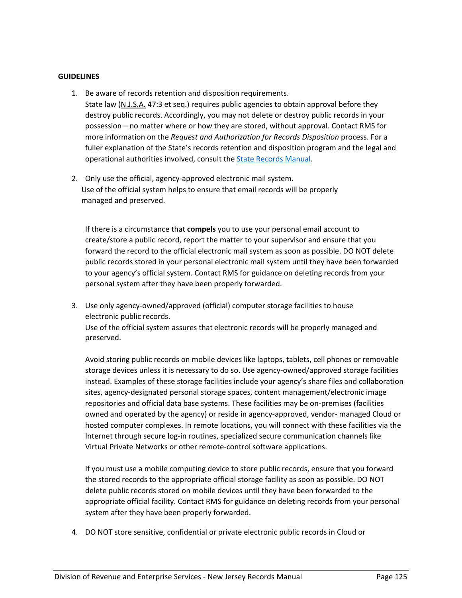#### **GUIDELINES**

- 1. Be aware of records retention and disposition requirements. State law (N.J.S.A. 47:3 et seq.) requires public agencies to obtain approval before they destroy public records. Accordingly, you may not delete or destroy public records in your possession – no matter where or how they are stored, without approval. Contact RMS for more information on the *Request and Authorization for Records Disposition* process. For a fuller explanation of the State's records retention and disposition program and the legal and operational authorities involved, consult the State Records Manual.
- 2. Only use the official, agency-approved electronic mail system. Use of the official system helps to ensure that email records will be properly managed and preserved.

If there is a circumstance that **compels** you to use your personal email account to create/store a public record, report the matter to your supervisor and ensure that you forward the record to the official electronic mail system as soon as possible. DO NOT delete public records stored in your personal electronic mail system until they have been forwarded to your agency's official system. Contact RMS for guidance on deleting records from your personal system after they have been properly forwarded.

3. Use only agency-owned/approved (official) computer storage facilities to house electronic public records.

Use of the official system assures that electronic records will be properly managed and preserved.

Avoid storing public records on mobile devices like laptops, tablets, cell phones or removable storage devices unless it is necessary to do so. Use agency-owned/approved storage facilities instead. Examples of these storage facilities include your agency's share files and collaboration sites, agency-designated personal storage spaces, content management/electronic image repositories and official data base systems. These facilities may be on-premises (facilities owned and operated by the agency) or reside in agency-approved, vendor- managed Cloud or hosted computer complexes. In remote locations, you will connect with these facilities via the Internet through secure log-in routines, specialized secure communication channels like Virtual Private Networks or other remote-control software applications.

If you must use a mobile computing device to store public records, ensure that you forward the stored records to the appropriate official storage facility as soon as possible. DO NOT delete public records stored on mobile devices until they have been forwarded to the appropriate official facility. Contact RMS for guidance on deleting records from your personal system after they have been properly forwarded.

4. DO NOT store sensitive, confidential or private electronic public records in Cloud or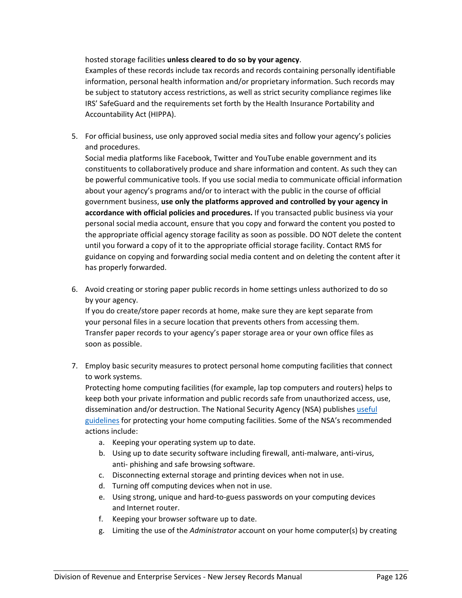hosted storage facilities **unless cleared to do so by your agency**.

Examples of these records include tax records and records containing personally identifiable information, personal health information and/or proprietary information. Such records may be subject to statutory access restrictions, as well as strict security compliance regimes like IRS' SafeGuard and the requirements set forth by the Health Insurance Portability and Accountability Act (HIPPA).

5. For official business, use only approved social media sites and follow your agency's policies and procedures.

Social media platforms like Facebook, Twitter and YouTube enable government and its constituents to collaboratively produce and share information and content. As such they can be powerful communicative tools. If you use social media to communicate official information about your agency's programs and/or to interact with the public in the course of official government business, **use only the platforms approved and controlled by your agency in accordance with official policies and procedures.** If you transacted public business via your personal social media account, ensure that you copy and forward the content you posted to the appropriate official agency storage facility as soon as possible. DO NOT delete the content until you forward a copy of it to the appropriate official storage facility. Contact RMS for guidance on copying and forwarding social media content and on deleting the content after it has properly forwarded.

6. Avoid creating or storing paper public records in home settings unless authorized to do so by your agency.

If you do create/store paper records at home, make sure they are kept separate from your personal files in a secure location that prevents others from accessing them. Transfer paper records to your agency's paper storage area or your own office files as soon as possible.

7. Employ basic security measures to protect personal home computing facilities that connect to work systems.

Protecting home computing facilities (for example, lap top computers and routers) helps to keep both your private information and public records safe from unauthorized access, use, dissemination and/or destruction. The National Security Agency (NSA) publishes useful guidelines for protecting your home computing facilities. Some of the NSA's recommended actions include:

- a. Keeping your operating system up to date.
- b. Using up to date security software including firewall, anti-malware, anti-virus, anti- phishing and safe browsing software.
- c. Disconnecting external storage and printing devices when not in use.
- d. Turning off computing devices when not in use.
- e. Using strong, unique and hard-to-guess passwords on your computing devices and Internet router.
- f. Keeping your browser software up to date.
- g. Limiting the use of the *Administrator* account on your home computer(s) by creating